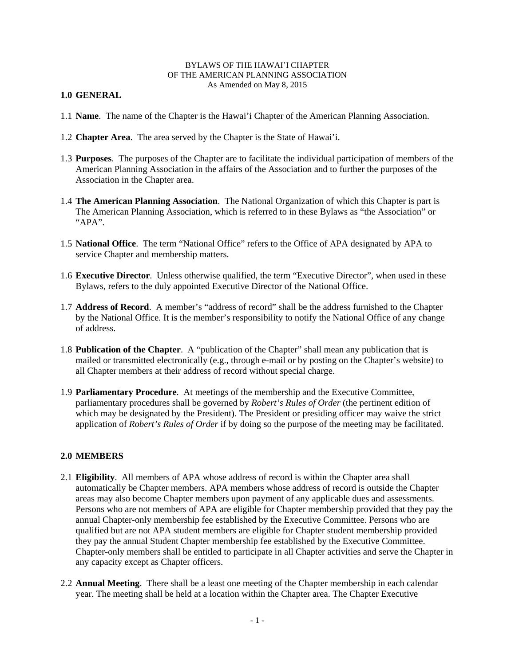#### BYLAWS OF THE HAWAI'I CHAPTER OF THE AMERICAN PLANNING ASSOCIATION As Amended on May 8, 2015

### **1.0 GENERAL**

- 1.1 **Name**. The name of the Chapter is the Hawai'i Chapter of the American Planning Association.
- 1.2 **Chapter Area**. The area served by the Chapter is the State of Hawai'i.
- 1.3 **Purposes**. The purposes of the Chapter are to facilitate the individual participation of members of the American Planning Association in the affairs of the Association and to further the purposes of the Association in the Chapter area.
- 1.4 **The American Planning Association**. The National Organization of which this Chapter is part is The American Planning Association, which is referred to in these Bylaws as "the Association" or " $APA$ ".
- 1.5 **National Office**. The term "National Office" refers to the Office of APA designated by APA to service Chapter and membership matters.
- 1.6 **Executive Director**. Unless otherwise qualified, the term "Executive Director", when used in these Bylaws, refers to the duly appointed Executive Director of the National Office.
- 1.7 **Address of Record**. A member's "address of record" shall be the address furnished to the Chapter by the National Office. It is the member's responsibility to notify the National Office of any change of address.
- 1.8 **Publication of the Chapter**. A "publication of the Chapter" shall mean any publication that is mailed or transmitted electronically (e.g., through e-mail or by posting on the Chapter's website) to all Chapter members at their address of record without special charge.
- 1.9 **Parliamentary Procedure**. At meetings of the membership and the Executive Committee, parliamentary procedures shall be governed by *Robert's Rules of Order* (the pertinent edition of which may be designated by the President). The President or presiding officer may waive the strict application of *Robert's Rules of Order* if by doing so the purpose of the meeting may be facilitated.

#### **2.0 MEMBERS**

- 2.1 **Eligibility**. All members of APA whose address of record is within the Chapter area shall automatically be Chapter members. APA members whose address of record is outside the Chapter areas may also become Chapter members upon payment of any applicable dues and assessments. Persons who are not members of APA are eligible for Chapter membership provided that they pay the annual Chapter-only membership fee established by the Executive Committee. Persons who are qualified but are not APA student members are eligible for Chapter student membership provided they pay the annual Student Chapter membership fee established by the Executive Committee. Chapter-only members shall be entitled to participate in all Chapter activities and serve the Chapter in any capacity except as Chapter officers.
- 2.2 **Annual Meeting**. There shall be a least one meeting of the Chapter membership in each calendar year. The meeting shall be held at a location within the Chapter area. The Chapter Executive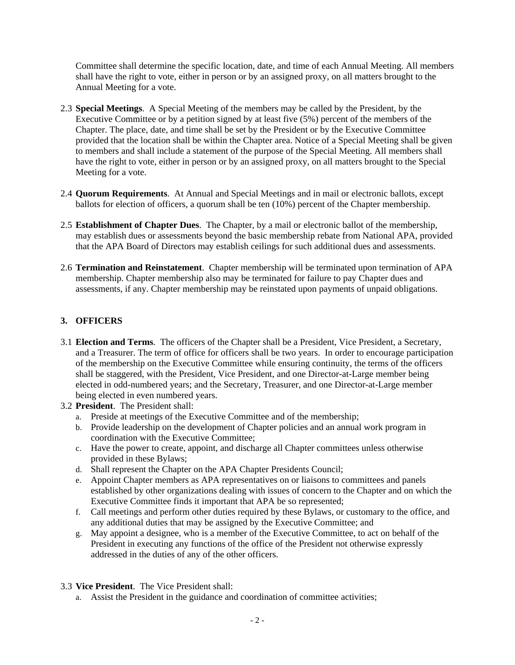Committee shall determine the specific location, date, and time of each Annual Meeting. All members shall have the right to vote, either in person or by an assigned proxy, on all matters brought to the Annual Meeting for a vote.

- 2.3 **Special Meetings**. A Special Meeting of the members may be called by the President, by the Executive Committee or by a petition signed by at least five (5%) percent of the members of the Chapter. The place, date, and time shall be set by the President or by the Executive Committee provided that the location shall be within the Chapter area. Notice of a Special Meeting shall be given to members and shall include a statement of the purpose of the Special Meeting. All members shall have the right to vote, either in person or by an assigned proxy, on all matters brought to the Special Meeting for a vote.
- 2.4 **Quorum Requirements**. At Annual and Special Meetings and in mail or electronic ballots, except ballots for election of officers, a quorum shall be ten (10%) percent of the Chapter membership.
- 2.5 **Establishment of Chapter Dues**. The Chapter, by a mail or electronic ballot of the membership, may establish dues or assessments beyond the basic membership rebate from National APA, provided that the APA Board of Directors may establish ceilings for such additional dues and assessments.
- 2.6 **Termination and Reinstatement**. Chapter membership will be terminated upon termination of APA membership. Chapter membership also may be terminated for failure to pay Chapter dues and assessments, if any. Chapter membership may be reinstated upon payments of unpaid obligations.

# **3. OFFICERS**

- 3.1 **Election and Terms**. The officers of the Chapter shall be a President, Vice President, a Secretary, and a Treasurer. The term of office for officers shall be two years. In order to encourage participation of the membership on the Executive Committee while ensuring continuity, the terms of the officers shall be staggered, with the President, Vice President, and one Director-at-Large member being elected in odd-numbered years; and the Secretary, Treasurer, and one Director-at-Large member being elected in even numbered years.
- 3.2 **President**. The President shall:
	- a. Preside at meetings of the Executive Committee and of the membership;
	- b. Provide leadership on the development of Chapter policies and an annual work program in coordination with the Executive Committee;
	- c. Have the power to create, appoint, and discharge all Chapter committees unless otherwise provided in these Bylaws;
	- d. Shall represent the Chapter on the APA Chapter Presidents Council;
	- e. Appoint Chapter members as APA representatives on or liaisons to committees and panels established by other organizations dealing with issues of concern to the Chapter and on which the Executive Committee finds it important that APA be so represented;
	- f. Call meetings and perform other duties required by these Bylaws, or customary to the office, and any additional duties that may be assigned by the Executive Committee; and
	- g. May appoint a designee, who is a member of the Executive Committee, to act on behalf of the President in executing any functions of the office of the President not otherwise expressly addressed in the duties of any of the other officers.
- 3.3 **Vice President**. The Vice President shall:
	- a. Assist the President in the guidance and coordination of committee activities;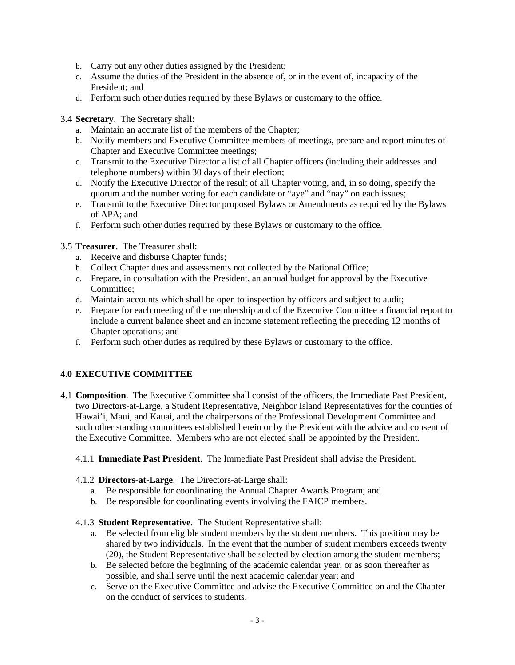- b. Carry out any other duties assigned by the President;
- c. Assume the duties of the President in the absence of, or in the event of, incapacity of the President; and
- d. Perform such other duties required by these Bylaws or customary to the office.
- 3.4 **Secretary**. The Secretary shall:
	- a. Maintain an accurate list of the members of the Chapter;
	- b. Notify members and Executive Committee members of meetings, prepare and report minutes of Chapter and Executive Committee meetings;
	- c. Transmit to the Executive Director a list of all Chapter officers (including their addresses and telephone numbers) within 30 days of their election;
	- d. Notify the Executive Director of the result of all Chapter voting, and, in so doing, specify the quorum and the number voting for each candidate or "aye" and "nay" on each issues;
	- e. Transmit to the Executive Director proposed Bylaws or Amendments as required by the Bylaws of APA; and
	- f. Perform such other duties required by these Bylaws or customary to the office.
- 3.5 **Treasurer**. The Treasurer shall:
	- a. Receive and disburse Chapter funds;
	- b. Collect Chapter dues and assessments not collected by the National Office;
	- c. Prepare, in consultation with the President, an annual budget for approval by the Executive Committee;
	- d. Maintain accounts which shall be open to inspection by officers and subject to audit;
	- e. Prepare for each meeting of the membership and of the Executive Committee a financial report to include a current balance sheet and an income statement reflecting the preceding 12 months of Chapter operations; and
	- f. Perform such other duties as required by these Bylaws or customary to the office.

# **4.0 EXECUTIVE COMMITTEE**

- 4.1 **Composition**. The Executive Committee shall consist of the officers, the Immediate Past President, two Directors-at-Large, a Student Representative, Neighbor Island Representatives for the counties of Hawai'i, Maui, and Kauai, and the chairpersons of the Professional Development Committee and such other standing committees established herein or by the President with the advice and consent of the Executive Committee. Members who are not elected shall be appointed by the President.
	- 4.1.1 **Immediate Past President**. The Immediate Past President shall advise the President.
	- 4.1.2 **Directors-at-Large**. The Directors-at-Large shall:
		- a. Be responsible for coordinating the Annual Chapter Awards Program; and
		- b. Be responsible for coordinating events involving the FAICP members.

#### 4.1.3 **Student Representative**. The Student Representative shall:

- a. Be selected from eligible student members by the student members. This position may be shared by two individuals. In the event that the number of student members exceeds twenty (20), the Student Representative shall be selected by election among the student members;
- b. Be selected before the beginning of the academic calendar year, or as soon thereafter as possible, and shall serve until the next academic calendar year; and
- c. Serve on the Executive Committee and advise the Executive Committee on and the Chapter on the conduct of services to students.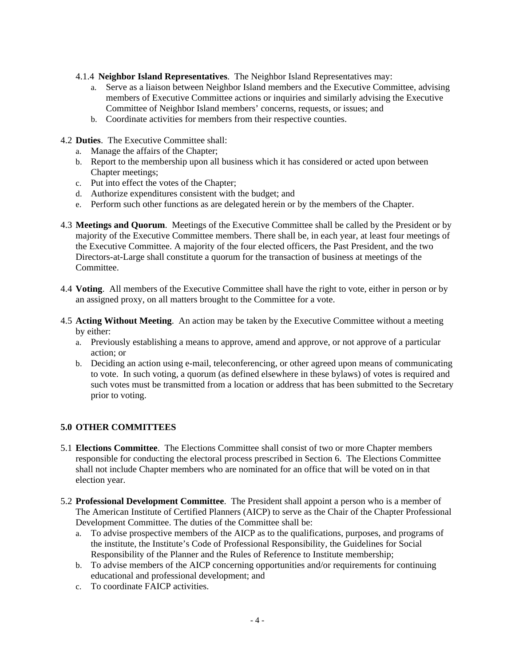- 4.1.4 **Neighbor Island Representatives**. The Neighbor Island Representatives may:
	- a. Serve as a liaison between Neighbor Island members and the Executive Committee, advising members of Executive Committee actions or inquiries and similarly advising the Executive Committee of Neighbor Island members' concerns, requests, or issues; and
	- b. Coordinate activities for members from their respective counties.
- 4.2 **Duties**. The Executive Committee shall:
	- a. Manage the affairs of the Chapter;
	- b. Report to the membership upon all business which it has considered or acted upon between Chapter meetings;
	- c. Put into effect the votes of the Chapter;
	- d. Authorize expenditures consistent with the budget; and
	- e. Perform such other functions as are delegated herein or by the members of the Chapter.
- 4.3 **Meetings and Quorum**. Meetings of the Executive Committee shall be called by the President or by majority of the Executive Committee members. There shall be, in each year, at least four meetings of the Executive Committee. A majority of the four elected officers, the Past President, and the two Directors-at-Large shall constitute a quorum for the transaction of business at meetings of the Committee.
- 4.4 **Voting**. All members of the Executive Committee shall have the right to vote, either in person or by an assigned proxy, on all matters brought to the Committee for a vote.
- 4.5 **Acting Without Meeting**. An action may be taken by the Executive Committee without a meeting by either:
	- a. Previously establishing a means to approve, amend and approve, or not approve of a particular action; or
	- b. Deciding an action using e-mail, teleconferencing, or other agreed upon means of communicating to vote. In such voting, a quorum (as defined elsewhere in these bylaws) of votes is required and such votes must be transmitted from a location or address that has been submitted to the Secretary prior to voting.

# **5.0 OTHER COMMITTEES**

- 5.1 **Elections Committee**. The Elections Committee shall consist of two or more Chapter members responsible for conducting the electoral process prescribed in Section 6. The Elections Committee shall not include Chapter members who are nominated for an office that will be voted on in that election year.
- 5.2 **Professional Development Committee**. The President shall appoint a person who is a member of The American Institute of Certified Planners (AICP) to serve as the Chair of the Chapter Professional Development Committee. The duties of the Committee shall be:
	- a. To advise prospective members of the AICP as to the qualifications, purposes, and programs of the institute, the Institute's Code of Professional Responsibility, the Guidelines for Social Responsibility of the Planner and the Rules of Reference to Institute membership;
	- b. To advise members of the AICP concerning opportunities and/or requirements for continuing educational and professional development; and
	- c. To coordinate FAICP activities.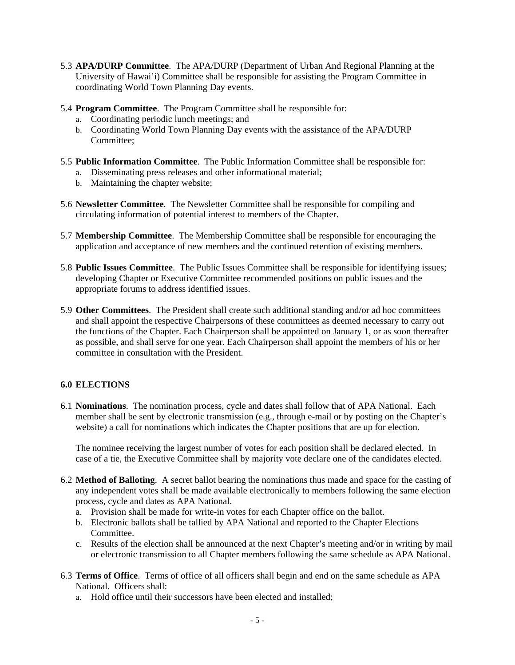- 5.3 **APA/DURP Committee**. The APA/DURP (Department of Urban And Regional Planning at the University of Hawai'i) Committee shall be responsible for assisting the Program Committee in coordinating World Town Planning Day events.
- 5.4 **Program Committee**. The Program Committee shall be responsible for:
	- a. Coordinating periodic lunch meetings; and
	- b. Coordinating World Town Planning Day events with the assistance of the APA/DURP Committee;
- 5.5 **Public Information Committee**. The Public Information Committee shall be responsible for:
	- a. Disseminating press releases and other informational material;
	- b. Maintaining the chapter website;
- 5.6 **Newsletter Committee**. The Newsletter Committee shall be responsible for compiling and circulating information of potential interest to members of the Chapter.
- 5.7 **Membership Committee**. The Membership Committee shall be responsible for encouraging the application and acceptance of new members and the continued retention of existing members.
- 5.8 **Public Issues Committee**. The Public Issues Committee shall be responsible for identifying issues; developing Chapter or Executive Committee recommended positions on public issues and the appropriate forums to address identified issues.
- 5.9 **Other Committees**. The President shall create such additional standing and/or ad hoc committees and shall appoint the respective Chairpersons of these committees as deemed necessary to carry out the functions of the Chapter. Each Chairperson shall be appointed on January 1, or as soon thereafter as possible, and shall serve for one year. Each Chairperson shall appoint the members of his or her committee in consultation with the President.

# **6.0 ELECTIONS**

6.1 **Nominations**. The nomination process, cycle and dates shall follow that of APA National. Each member shall be sent by electronic transmission (e.g., through e-mail or by posting on the Chapter's website) a call for nominations which indicates the Chapter positions that are up for election.

The nominee receiving the largest number of votes for each position shall be declared elected. In case of a tie, the Executive Committee shall by majority vote declare one of the candidates elected.

- 6.2 **Method of Balloting**. A secret ballot bearing the nominations thus made and space for the casting of any independent votes shall be made available electronically to members following the same election process, cycle and dates as APA National.
	- a. Provision shall be made for write-in votes for each Chapter office on the ballot.
	- b. Electronic ballots shall be tallied by APA National and reported to the Chapter Elections Committee.
	- c. Results of the election shall be announced at the next Chapter's meeting and/or in writing by mail or electronic transmission to all Chapter members following the same schedule as APA National.
- 6.3 **Terms of Office**. Terms of office of all officers shall begin and end on the same schedule as APA National. Officers shall:
	- a. Hold office until their successors have been elected and installed;